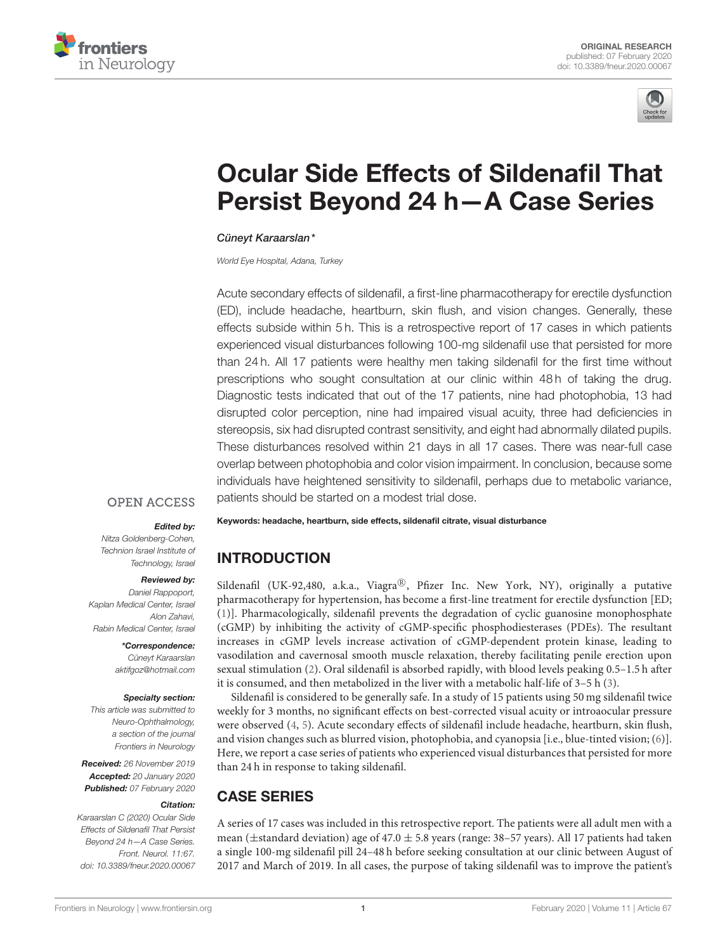



# Ocular Side Effects of Sildenafil That [Persist Beyond 24 h—A Case Series](https://www.frontiersin.org/articles/10.3389/fneur.2020.00067/full)

## [Cüneyt Karaarslan\\*](http://loop.frontiersin.org/people/785182/overview)

World Eye Hospital, Adana, Turkey

Acute secondary effects of sildenafil, a first-line pharmacotherapy for erectile dysfunction (ED), include headache, heartburn, skin flush, and vision changes. Generally, these effects subside within 5 h. This is a retrospective report of 17 cases in which patients experienced visual disturbances following 100-mg sildenafil use that persisted for more than 24 h. All 17 patients were healthy men taking sildenafil for the first time without prescriptions who sought consultation at our clinic within 48 h of taking the drug. Diagnostic tests indicated that out of the 17 patients, nine had photophobia, 13 had disrupted color perception, nine had impaired visual acuity, three had deficiencies in stereopsis, six had disrupted contrast sensitivity, and eight had abnormally dilated pupils. These disturbances resolved within 21 days in all 17 cases. There was near-full case overlap between photophobia and color vision impairment. In conclusion, because some individuals have heightened sensitivity to sildenafil, perhaps due to metabolic variance, patients should be started on a modest trial dose.

## **OPEN ACCESS**

### Edited by:

Nitza Goldenberg-Cohen, Technion Israel Institute of Technology, Israel

### Reviewed by:

Daniel Rappoport, Kaplan Medical Center, Israel Alon Zahavi, Rabin Medical Center, Israel

> \*Correspondence: Cüneyt Karaarslan [aktifgoz@hotmail.com](mailto:aktifgoz@hotmail.com)

### Specialty section:

This article was submitted to Neuro-Ophthalmology, a section of the journal Frontiers in Neurology

Received: 26 November 2019 Accepted: 20 January 2020 Published: 07 February 2020

### Citation:

Karaarslan C (2020) Ocular Side Effects of Sildenafil That Persist Beyond 24 h—A Case Series. Front. Neurol. 11:67. doi: [10.3389/fneur.2020.00067](https://doi.org/10.3389/fneur.2020.00067) Keywords: headache, heartburn, side effects, sildenafil citrate, visual disturbance

## INTRODUCTION

Sildenafil (UK-92,480, a.k.a., Viagra®, Pfizer Inc. New York, NY), originally a putative pharmacotherapy for hypertension, has become a first-line treatment for erectile dysfunction [ED; [\(1\)](#page-3-0)]. Pharmacologically, sildenafil prevents the degradation of cyclic guanosine monophosphate (cGMP) by inhibiting the activity of cGMP-specific phosphodiesterases (PDEs). The resultant increases in cGMP levels increase activation of cGMP-dependent protein kinase, leading to vasodilation and cavernosal smooth muscle relaxation, thereby facilitating penile erection upon sexual stimulation [\(2\)](#page-3-1). Oral sildenafil is absorbed rapidly, with blood levels peaking 0.5–1.5 h after it is consumed, and then metabolized in the liver with a metabolic half-life of 3–5 h [\(3\)](#page-3-2).

Sildenafil is considered to be generally safe. In a study of 15 patients using 50 mg sildenafil twice weekly for 3 months, no significant effects on best-corrected visual acuity or introaocular pressure were observed [\(4,](#page-3-3) [5\)](#page-3-4). Acute secondary effects of sildenafil include headache, heartburn, skin flush, and vision changes such as blurred vision, photophobia, and cyanopsia [i.e., blue-tinted vision; [\(6\)](#page-3-5)]. Here, we report a case series of patients who experienced visual disturbances that persisted for more than 24 h in response to taking sildenafil.

# CASE SERIES

A series of 17 cases was included in this retrospective report. The patients were all adult men with a mean (±standard deviation) age of 47.0 ± 5.8 years (range: 38–57 years). All 17 patients had taken a single 100-mg sildenafil pill 24–48 h before seeking consultation at our clinic between August of 2017 and March of 2019. In all cases, the purpose of taking sildenafil was to improve the patient's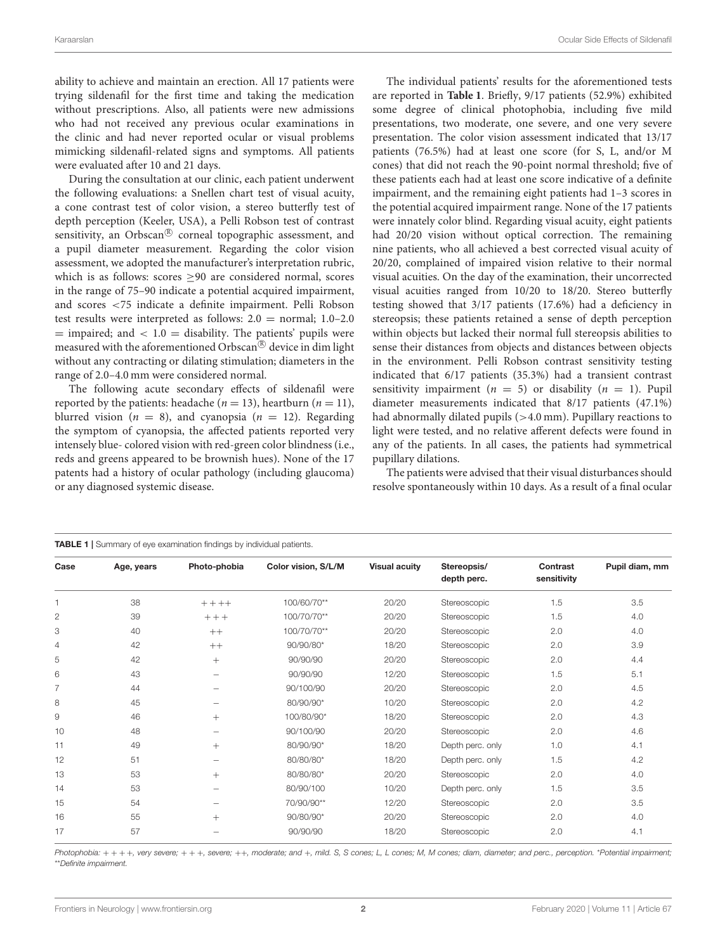ability to achieve and maintain an erection. All 17 patients were trying sildenafil for the first time and taking the medication without prescriptions. Also, all patients were new admissions who had not received any previous ocular examinations in the clinic and had never reported ocular or visual problems mimicking sildenafil-related signs and symptoms. All patients were evaluated after 10 and 21 days.

During the consultation at our clinic, each patient underwent the following evaluations: a Snellen chart test of visual acuity, a cone contrast test of color vision, a stereo butterfly test of depth perception (Keeler, USA), a Pelli Robson test of contrast sensitivity, an Orbscan $^\circledR$  corneal topographic assessment, and a pupil diameter measurement. Regarding the color vision assessment, we adopted the manufacturer's interpretation rubric, which is as follows: scores  $\geq 90$  are considered normal, scores in the range of 75–90 indicate a potential acquired impairment, and scores <75 indicate a definite impairment. Pelli Robson test results were interpreted as follows: 2.0 = normal; 1.0–2.0  $=$  impaired; and  $< 1.0 =$  disability. The patients' pupils were measured with the aforementioned Orbscan<sup>®</sup> device in dim light without any contracting or dilating stimulation; diameters in the range of 2.0–4.0 mm were considered normal.

The following acute secondary effects of sildenafil were reported by the patients: headache ( $n = 13$ ), heartburn ( $n = 11$ ), blurred vision ( $n = 8$ ), and cyanopsia ( $n = 12$ ). Regarding the symptom of cyanopsia, the affected patients reported very intensely blue- colored vision with red-green color blindness (i.e., reds and greens appeared to be brownish hues). None of the 17 patents had a history of ocular pathology (including glaucoma) or any diagnosed systemic disease.

The individual patients' results for the aforementioned tests are reported in **[Table 1](#page-1-0)**. Briefly, 9/17 patients (52.9%) exhibited some degree of clinical photophobia, including five mild presentations, two moderate, one severe, and one very severe presentation. The color vision assessment indicated that 13/17 patients (76.5%) had at least one score (for S, L, and/or M cones) that did not reach the 90-point normal threshold; five of these patients each had at least one score indicative of a definite impairment, and the remaining eight patients had 1–3 scores in the potential acquired impairment range. None of the 17 patients were innately color blind. Regarding visual acuity, eight patients had 20/20 vision without optical correction. The remaining nine patients, who all achieved a best corrected visual acuity of 20/20, complained of impaired vision relative to their normal visual acuities. On the day of the examination, their uncorrected visual acuities ranged from 10/20 to 18/20. Stereo butterfly testing showed that 3/17 patients (17.6%) had a deficiency in stereopsis; these patients retained a sense of depth perception within objects but lacked their normal full stereopsis abilities to sense their distances from objects and distances between objects in the environment. Pelli Robson contrast sensitivity testing indicated that 6/17 patients (35.3%) had a transient contrast sensitivity impairment ( $n = 5$ ) or disability ( $n = 1$ ). Pupil diameter measurements indicated that 8/17 patients (47.1%) had abnormally dilated pupils (>4.0 mm). Pupillary reactions to light were tested, and no relative afferent defects were found in any of the patients. In all cases, the patients had symmetrical pupillary dilations.

The patients were advised that their visual disturbances should resolve spontaneously within 10 days. As a result of a final ocular

<span id="page-1-0"></span>

| <b>TABLE 1</b>   Summary of eye examination findings by individual patients. |            |                          |                     |                      |                            |                         |                |
|------------------------------------------------------------------------------|------------|--------------------------|---------------------|----------------------|----------------------------|-------------------------|----------------|
| Case                                                                         | Age, years | Photo-phobia             | Color vision, S/L/M | <b>Visual acuity</b> | Stereopsis/<br>depth perc. | Contrast<br>sensitivity | Pupil diam, mm |
|                                                                              | 38         | $++++$                   | 100/60/70**         | 20/20                | Stereoscopic               | 1.5                     | 3.5            |
| 2                                                                            | 39         | $++ +$                   | 100/70/70**         | 20/20                | Stereoscopic               | 1.5                     | 4.0            |
| 3                                                                            | 40         | $++$                     | 100/70/70**         | 20/20                | Stereoscopic               | 2.0                     | 4.0            |
| $\overline{4}$                                                               | 42         | $++$                     | 90/90/80*           | 18/20                | Stereoscopic               | 2.0                     | 3.9            |
| 5                                                                            | 42         | $+$                      | 90/90/90            | 20/20                | Stereoscopic               | 2.0                     | 4.4            |
| 6                                                                            | 43         |                          | 90/90/90            | 12/20                | Stereoscopic               | 1.5                     | 5.1            |
| $\overline{7}$                                                               | 44         |                          | 90/100/90           | 20/20                | Stereoscopic               | 2.0                     | 4.5            |
| 8                                                                            | 45         |                          | 80/90/90*           | 10/20                | Stereoscopic               | 2.0                     | 4.2            |
| 9                                                                            | 46         | $^{+}$                   | 100/80/90*          | 18/20                | Stereoscopic               | 2.0                     | 4.3            |
| 10                                                                           | 48         | $\overline{\phantom{0}}$ | 90/100/90           | 20/20                | Stereoscopic               | 2.0                     | 4.6            |
| 11                                                                           | 49         | $^{+}$                   | 80/90/90*           | 18/20                | Depth perc. only           | 1.0                     | 4.1            |
| 12                                                                           | 51         |                          | 80/80/80*           | 18/20                | Depth perc. only           | 1.5                     | 4.2            |
| 13                                                                           | 53         | $^{+}$                   | 80/80/80*           | 20/20                | Stereoscopic               | 2.0                     | 4.0            |
| 14                                                                           | 53         |                          | 80/90/100           | 10/20                | Depth perc. only           | 1.5                     | 3.5            |
| 15                                                                           | 54         |                          | 70/90/90**          | 12/20                | Stereoscopic               | 2.0                     | 3.5            |
| 16                                                                           | 55         | $^{+}$                   | 90/80/90*           | 20/20                | Stereoscopic               | 2.0                     | 4.0            |
| 17                                                                           | 57         |                          | 90/90/90            | 18/20                | Stereoscopic               | 2.0                     | 4.1            |

Photophobia: + + + +, very severe; + + +, severe; ++, moderate; and +, mild. S, S cones; L, L cones; M, M cones; diam, diameter; and perc., perception. \*Potential impairment; \*\*Definite impairment.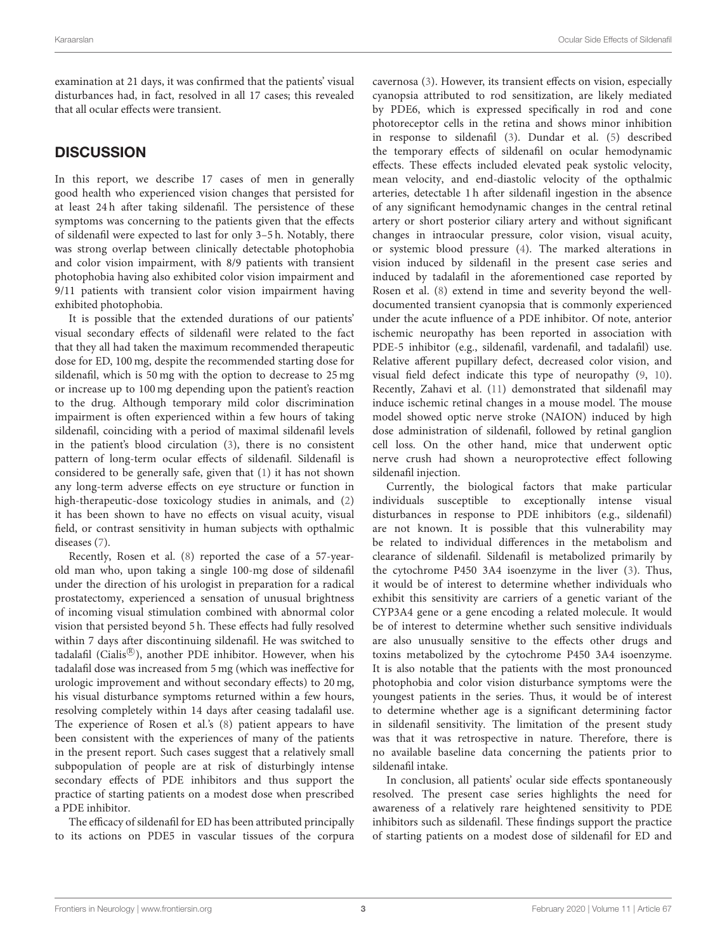examination at 21 days, it was confirmed that the patients' visual disturbances had, in fact, resolved in all 17 cases; this revealed that all ocular effects were transient.

## **DISCUSSION**

In this report, we describe 17 cases of men in generally good health who experienced vision changes that persisted for at least 24 h after taking sildenafil. The persistence of these symptoms was concerning to the patients given that the effects of sildenafil were expected to last for only 3–5 h. Notably, there was strong overlap between clinically detectable photophobia and color vision impairment, with 8/9 patients with transient photophobia having also exhibited color vision impairment and 9/11 patients with transient color vision impairment having exhibited photophobia.

It is possible that the extended durations of our patients' visual secondary effects of sildenafil were related to the fact that they all had taken the maximum recommended therapeutic dose for ED, 100 mg, despite the recommended starting dose for sildenafil, which is 50 mg with the option to decrease to 25 mg or increase up to 100 mg depending upon the patient's reaction to the drug. Although temporary mild color discrimination impairment is often experienced within a few hours of taking sildenafil, coinciding with a period of maximal sildenafil levels in the patient's blood circulation [\(3\)](#page-3-2), there is no consistent pattern of long-term ocular effects of sildenafil. Sildenafil is considered to be generally safe, given that [\(1\)](#page-3-0) it has not shown any long-term adverse effects on eye structure or function in high-therapeutic-dose toxicology studies in animals, and [\(2\)](#page-3-1) it has been shown to have no effects on visual acuity, visual field, or contrast sensitivity in human subjects with opthalmic diseases [\(7\)](#page-3-6).

Recently, Rosen et al. [\(8\)](#page-3-7) reported the case of a 57-yearold man who, upon taking a single 100-mg dose of sildenafil under the direction of his urologist in preparation for a radical prostatectomy, experienced a sensation of unusual brightness of incoming visual stimulation combined with abnormal color vision that persisted beyond 5 h. These effects had fully resolved within 7 days after discontinuing sildenafil. He was switched to tadalafil (Cialis®), another PDE inhibitor. However, when his tadalafil dose was increased from 5 mg (which was ineffective for urologic improvement and without secondary effects) to 20 mg, his visual disturbance symptoms returned within a few hours, resolving completely within 14 days after ceasing tadalafil use. The experience of Rosen et al.'s [\(8\)](#page-3-7) patient appears to have been consistent with the experiences of many of the patients in the present report. Such cases suggest that a relatively small subpopulation of people are at risk of disturbingly intense secondary effects of PDE inhibitors and thus support the practice of starting patients on a modest dose when prescribed a PDE inhibitor.

The efficacy of sildenafil for ED has been attributed principally to its actions on PDE5 in vascular tissues of the corpura cavernosa [\(3\)](#page-3-2). However, its transient effects on vision, especially cyanopsia attributed to rod sensitization, are likely mediated by PDE6, which is expressed specifically in rod and cone photoreceptor cells in the retina and shows minor inhibition in response to sildenafil [\(3\)](#page-3-2). Dundar et al. [\(5\)](#page-3-4) described the temporary effects of sildenafil on ocular hemodynamic effects. These effects included elevated peak systolic velocity, mean velocity, and end-diastolic velocity of the opthalmic arteries, detectable 1 h after sildenafil ingestion in the absence of any significant hemodynamic changes in the central retinal artery or short posterior ciliary artery and without significant changes in intraocular pressure, color vision, visual acuity, or systemic blood pressure [\(4\)](#page-3-3). The marked alterations in vision induced by sildenafil in the present case series and induced by tadalafil in the aforementioned case reported by Rosen et al. [\(8\)](#page-3-7) extend in time and severity beyond the welldocumented transient cyanopsia that is commonly experienced under the acute influence of a PDE inhibitor. Of note, anterior ischemic neuropathy has been reported in association with PDE-5 inhibitor (e.g., sildenafil, vardenafil, and tadalafil) use. Relative afferent pupillary defect, decreased color vision, and visual field defect indicate this type of neuropathy [\(9,](#page-3-8) [10\)](#page-3-9). Recently, Zahavi et al. [\(11\)](#page-3-10) demonstrated that sildenafil may induce ischemic retinal changes in a mouse model. The mouse model showed optic nerve stroke (NAION) induced by high dose administration of sildenafil, followed by retinal ganglion cell loss. On the other hand, mice that underwent optic nerve crush had shown a neuroprotective effect following sildenafil injection.

Currently, the biological factors that make particular individuals susceptible to exceptionally intense visual disturbances in response to PDE inhibitors (e.g., sildenafil) are not known. It is possible that this vulnerability may be related to individual differences in the metabolism and clearance of sildenafil. Sildenafil is metabolized primarily by the cytochrome P450 3A4 isoenzyme in the liver [\(3\)](#page-3-2). Thus, it would be of interest to determine whether individuals who exhibit this sensitivity are carriers of a genetic variant of the CYP3A4 gene or a gene encoding a related molecule. It would be of interest to determine whether such sensitive individuals are also unusually sensitive to the effects other drugs and toxins metabolized by the cytochrome P450 3A4 isoenzyme. It is also notable that the patients with the most pronounced photophobia and color vision disturbance symptoms were the youngest patients in the series. Thus, it would be of interest to determine whether age is a significant determining factor in sildenafil sensitivity. The limitation of the present study was that it was retrospective in nature. Therefore, there is no available baseline data concerning the patients prior to sildenafil intake.

In conclusion, all patients' ocular side effects spontaneously resolved. The present case series highlights the need for awareness of a relatively rare heightened sensitivity to PDE inhibitors such as sildenafil. These findings support the practice of starting patients on a modest dose of sildenafil for ED and